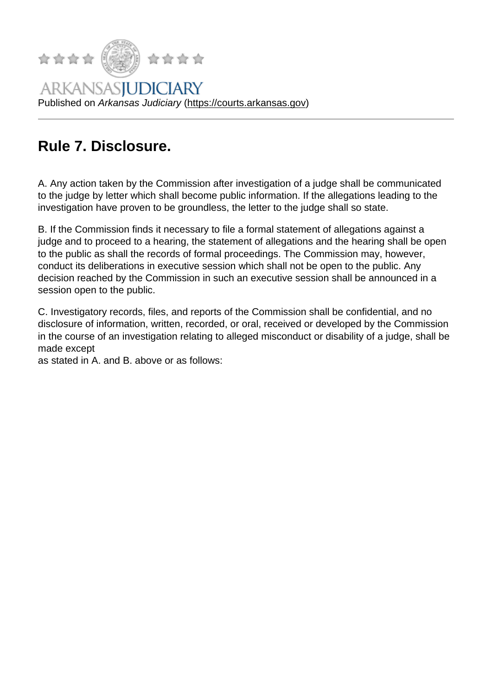## Rule 7. Disclosure.

A. Any action taken by the Commission after investigation of a judge shall be communicated to the judge by letter which shall become public information. If the allegations leading to the investigation have proven to be groundless, the letter to the judge shall so state.

B. If the Commission finds it necessary to file a formal statement of allegations against a judge and to proceed to a hearing, the statement of allegations and the hearing shall be open to the public as shall the records of formal proceedings. The Commission may, however, conduct its deliberations in executive session which shall not be open to the public. Any decision reached by the Commission in such an executive session shall be announced in a session open to the public.

C. Investigatory records, files, and reports of the Commission shall be confidential, and no disclosure of information, written, recorded, or oral, received or developed by the Commission in the course of an investigation relating to alleged misconduct or disability of a judge, shall be made except

as stated in A. and B. above or as follows: